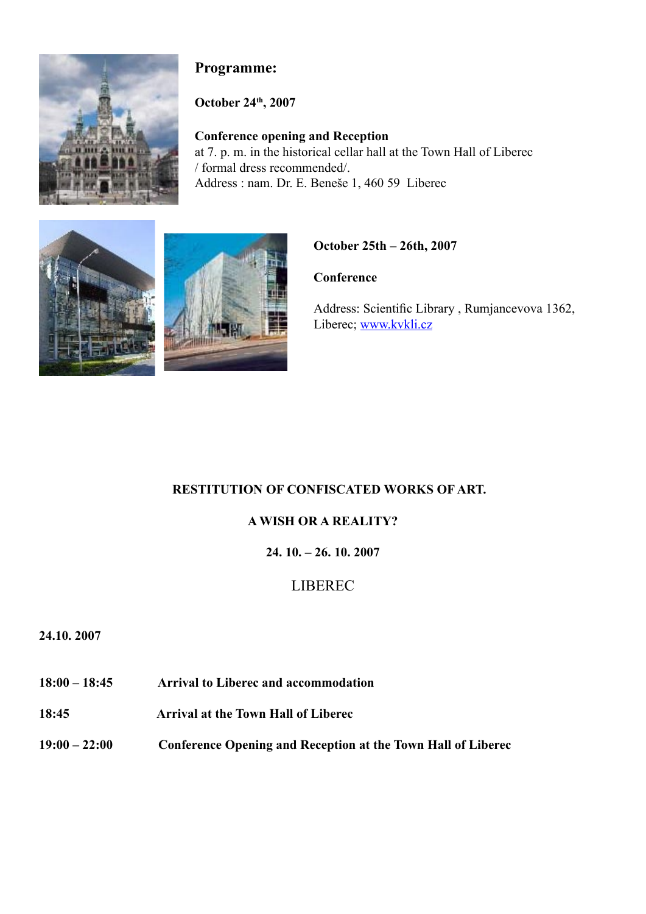

# **Programme:**

**October 24th, 2007** 

**Conference opening and Reception** at 7. p. m. in the historical cellar hall at the Town Hall of Liberec / formal dress recommended/. Address : nam. Dr. E. Beneše 1, 460 59 Liberec





# **October 25th – 26th, 2007**

**Conference** 

Address: Scientific Library , Rumjancevova 1362, Liberec; www.kvkli.cz

# **RESTITUTION OF CONFISCATED WORKS OF ART.**

# **A WISH OR A REALITY?**

# **24. 10. – 26. 10. 2007**

# LIBEREC

## **24.10. 2007**

- **18:00 18:45 Arrival to Liberec and accommodation**
- **18:45 Arrival at the Town Hall of Liberec**
- **19:00 22:00 Conference Opening and Reception at the Town Hall of Liberec**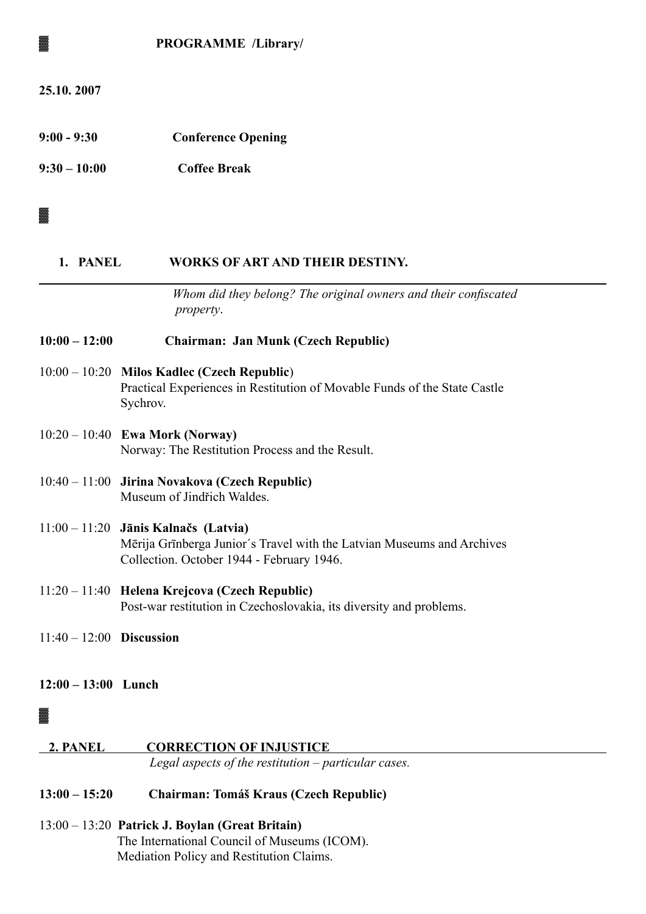|                            | PROGRAMME /Library/                                                                                                                                           |
|----------------------------|---------------------------------------------------------------------------------------------------------------------------------------------------------------|
| 25.10.2007                 |                                                                                                                                                               |
| $9:00 - 9:30$              | <b>Conference Opening</b>                                                                                                                                     |
| $9:30 - 10:00$             | <b>Coffee Break</b>                                                                                                                                           |
|                            |                                                                                                                                                               |
| 1. PANEL                   | <b>WORKS OF ART AND THEIR DESTINY.</b>                                                                                                                        |
|                            | Whom did they belong? The original owners and their confiscated<br>property.                                                                                  |
| $10:00 - 12:00$            | <b>Chairman: Jan Munk (Czech Republic)</b>                                                                                                                    |
|                            | $10:00 - 10:20$ Milos Kadlec (Czech Republic)<br>Practical Experiences in Restitution of Movable Funds of the State Castle<br>Sychrov.                        |
|                            | $10:20 - 10:40$ Ewa Mork (Norway)<br>Norway: The Restitution Process and the Result.                                                                          |
|                            | 10:40 – 11:00 Jirina Novakova (Czech Republic)<br>Museum of Jindřich Waldes.                                                                                  |
|                            | $11:00 - 11:20$ Jānis Kalnačs (Latvia)<br>Mērija Grīnberga Junior's Travel with the Latvian Museums and Archives<br>Collection. October 1944 - February 1946. |
|                            | $11:20 - 11:40$ Helena Krejcova (Czech Republic)<br>Post-war restitution in Czechoslovakia, its diversity and problems.                                       |
| $11:40 - 12:00$ Discussion |                                                                                                                                                               |
| $12:00 - 13:00$ Lunch      |                                                                                                                                                               |
|                            |                                                                                                                                                               |
| 2. PANEL                   | <b>CORRECTION OF INJUSTICE</b><br>Legal aspects of the restitution $-$ particular cases.                                                                      |
| $13:00 - 15:20$            | Chairman: Tomáš Kraus (Czech Republic)                                                                                                                        |

13:00 – 13:20 **Patrick J. Boylan (Great Britain)**  The International Council of Museums (ICOM). Mediation Policy and Restitution Claims.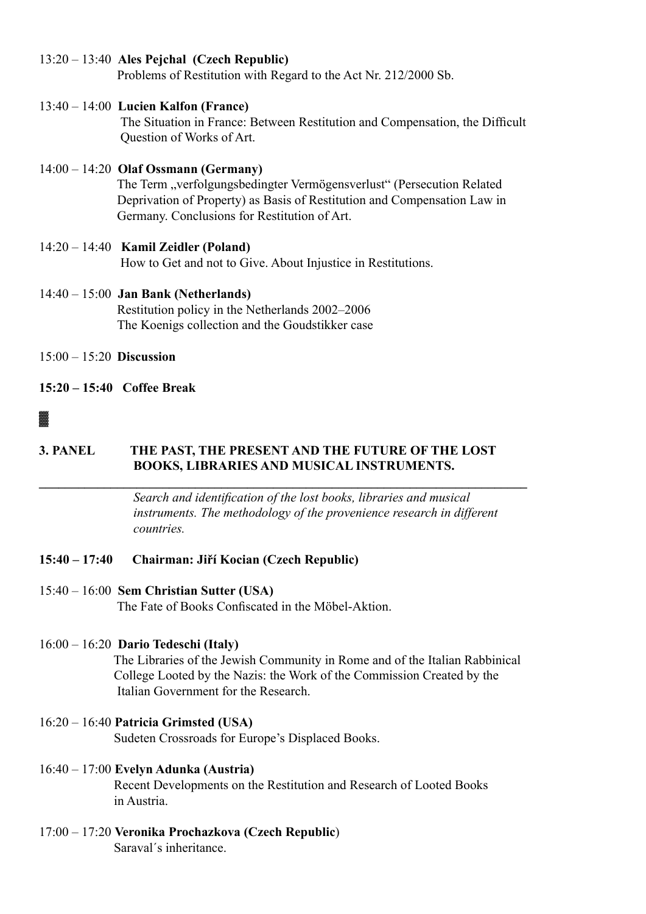## 13:20 – 13:40 **Ales Pejchal (Czech Republic)**

Problems of Restitution with Regard to the Act Nr. 212/2000 Sb.

## 13:40 – 14:00 **Lucien Kalfon (France)**

The Situation in France: Between Restitution and Compensation, the Difficult Question of Works of Art.

### 14:00 – 14:20 **Olaf Ossmann (Germany)** The Term "verfolgungsbedingter Vermögensverlust" (Persecution Related Deprivation of Property) as Basis of Restitution and Compensation Law in Germany. Conclusions for Restitution of Art.

### 14:20 – 14:40 **Kamil Zeidler (Poland)**  How to Get and not to Give. About Injustice in Restitutions.

- 14:40 15:00 **Jan Bank (Netherlands)** Restitution policy in the Netherlands 2002–2006 The Koenigs collection and the Goudstikker case
- 15:00 15:20 **Discussion**

# **15:20 – 15:40 Coffee Break**

# ▓

# **3. PANEL THE PAST, THE PRESENT AND THE FUTURE OF THE LOST BOOKS, LIBRARIES AND MUSICAL INSTRUMENTS.**

**\_\_\_\_\_\_\_\_\_\_\_\_\_\_\_\_\_\_\_\_\_\_\_\_\_\_\_\_\_\_\_\_\_\_\_\_\_\_\_\_\_\_\_\_\_\_\_\_\_\_\_\_\_\_\_\_\_\_\_\_\_\_\_\_\_\_\_\_\_\_\_\_\_\_\_**

 *Search and identification of the lost books, libraries and musical instruments. The methodology of the provenience research in different countries.*

# **15:40 – 17:40 Chairman: Jiří Kocian (Czech Republic)**

# 15:40 – 16:00 **Sem Christian Sutter (USA)**

The Fate of Books Confiscated in the Möbel-Aktion.

# 16:00 – 16:20 **Dario Tedeschi (Italy)**

 The Libraries of the Jewish Community in Rome and of the Italian Rabbinical College Looted by the Nazis: the Work of the Commission Created by the Italian Government for the Research.

# 16:20 – 16:40 **Patricia Grimsted (USA)**

Sudeten Crossroads for Europe's Displaced Books.

### 16:40 – 17:00 **Evelyn Adunka (Austria)**

Recent Developments on the Restitution and Research of Looted Books in Austria.

17:00 – 17:20 **Veronika Prochazkova (Czech Republic**) Saraval´s inheritance.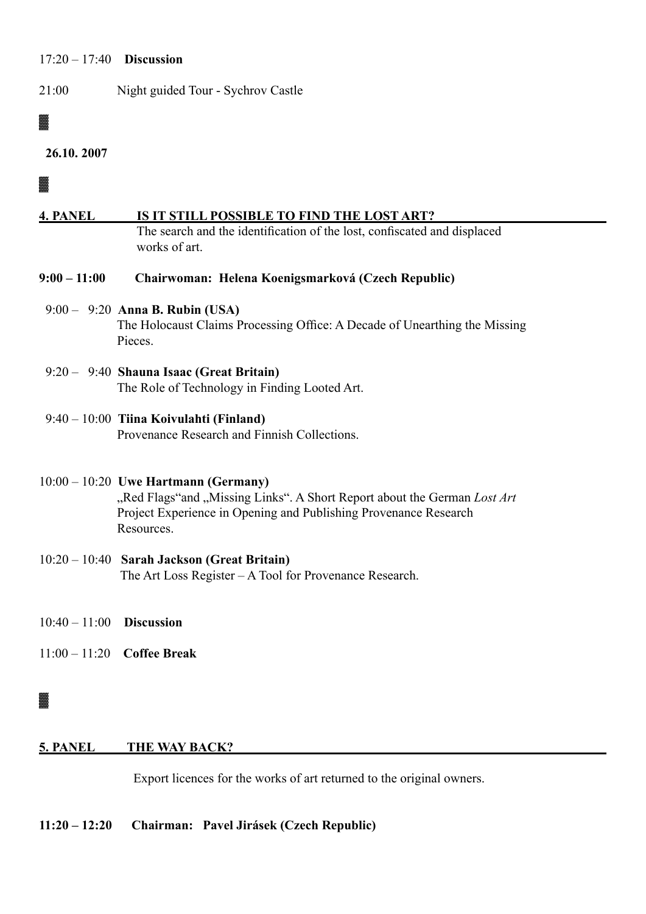### 17:20 – 17:40 **Discussion**

21:00 Night guided Tour - Sychrov Castle

# ▓

```
 26.10. 2007
```
▓

### **4. PANEL IS IT STILL POSSIBLE TO FIND THE LOST ART?**

The search and the identification of the lost, confiscated and displaced works of art.

**9:00 – 11:00 Chairwoman: Helena Koenigsmarková (Czech Republic)**

# 9:00 – 9:20 **Anna B. Rubin (USA)**

 The Holocaust Claims Processing Office: A Decade of Unearthing the Missing Pieces.

 9:20 – 9:40 **Shauna Isaac (Great Britain)** The Role of Technology in Finding Looted Art.

## 9:40 – 10:00 **Tiina Koivulahti (Finland)**

Provenance Research and Finnish Collections.

# 10:00 – 10:20 **Uwe Hartmann (Germany)**

"Red Flags"and "Missing Links". A Short Report about the German *Lost Art*  Project Experience in Opening and Publishing Provenance Research Resources.

#### 10:20 – 10:40 **Sarah Jackson (Great Britain)** The Art Loss Register – A Tool for Provenance Research.

- 10:40 11:00 **Discussion**
- 11:00 11:20 **Coffee Break**

# ▓

## **5. PANEL THE WAY BACK?**

Export licences for the works of art returned to the original owners.

### **11:20 – 12:20 Chairman: Pavel Jirásek (Czech Republic)**